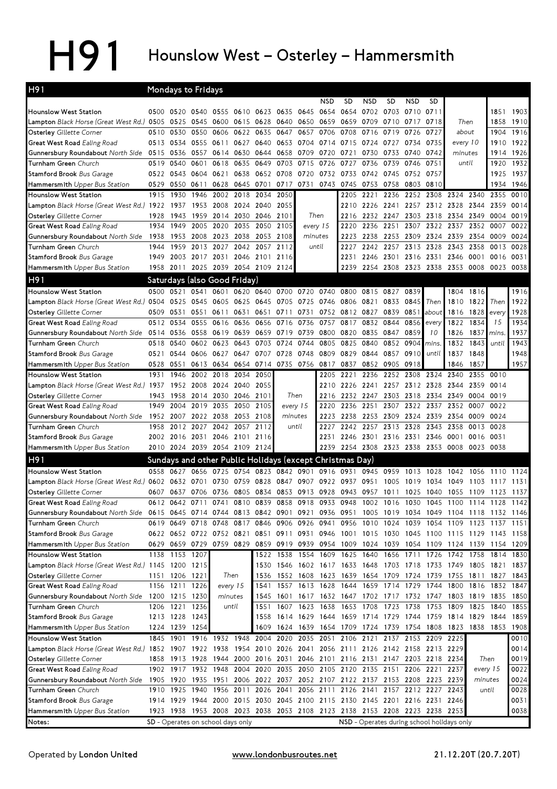## H91 Hounslow West - Osterley - Hammersmith

| H <sub>91</sub>                                                                                                             |      | Mondays to Fridays |                                                                            |                     |           |           |      |                                                             |           |                                         |                               |           |                          |           |                                                                                           |           |          |           |
|-----------------------------------------------------------------------------------------------------------------------------|------|--------------------|----------------------------------------------------------------------------|---------------------|-----------|-----------|------|-------------------------------------------------------------|-----------|-----------------------------------------|-------------------------------|-----------|--------------------------|-----------|-------------------------------------------------------------------------------------------|-----------|----------|-----------|
|                                                                                                                             |      |                    |                                                                            |                     |           |           |      |                                                             | NSD       | SD                                      | <b>NSD</b>                    | SD        | <b>NSD</b>               | SD        |                                                                                           |           |          |           |
| <b>Hounslow West Station</b>                                                                                                |      | 0500 0520          | 0540 0555                                                                  |                     | 0610 0623 |           | 0635 | 0645                                                        | 0654      | 0654                                    | 0702 0703                     |           | 0710                     | 0711      |                                                                                           |           | 1851     | 1903      |
| <b>Lampton</b> Black Horse (Great West Rd.) 0505                                                                            |      | 0525               | 0545                                                                       | 0600                |           | 0615 0628 | 0640 | 0650                                                        | 0659      | 0659                                    | 0709                          | 0710      | 0717                     | 0718      | Then                                                                                      |           | 1858     | 1910      |
| Osterley Gillette Corner                                                                                                    | 0510 | 0530               | 0550                                                                       | 0606                | 0622      | 0635      | 0647 | 0657                                                        | 0706      | 0708                                    | 0716                          | 0719      | 0726                     | 0727      | about                                                                                     |           | 1904     | 1916      |
| Great West Road Ealing Road                                                                                                 | 0513 | 0534               | 0555                                                                       | 0611                | 0627      | 0640      | 0653 | 0704                                                        | 0714      | 0715                                    | 0724                          | 0727      | 0734                     | 0735      | every 10                                                                                  |           | 1910     | 1922      |
| Gunnersbury Roundabout North Side                                                                                           | 0515 | 0536               | 0557                                                                       | 0614                | 0630      | 0644      | 0658 | 0709                                                        | 0720      | 0721                                    | 0730                          | 0733      | 0740                     | 0742      | minutes                                                                                   |           | 1914     | 1926      |
| Turnham Green Church                                                                                                        | 0519 | 0540               | 0601                                                                       | 0618                | 0635      | 0649      | 0703 | 0715                                                        | 0726      | 0727                                    | 0736                          | 0739      | 0746                     | 0751      | until                                                                                     |           | 1920     | 1932      |
| Stamford Brook Bus Garage                                                                                                   | 0522 | 0543               | 0604                                                                       | 0621                | 0638      | 0652      | 0708 | 0720                                                        | 0732      | 0733                                    | 0742                          | 0745      | 0752                     | 0757      |                                                                                           |           | 1925     | 1937      |
| Hammersmith Upper Bus Station                                                                                               | 0529 | 0550               | 0611                                                                       | 0628                | 0645      | 0701      | 0717 | 0731                                                        | 0743      | 0745                                    | 0753                          | 0758      | 0803                     | 0810      |                                                                                           |           | 1934     | 1946      |
| <b>Hounslow West Station</b>                                                                                                | 1915 | 1930               | 1946                                                                       | 2002                | 2018      | 2034      | 2050 |                                                             |           | 2205                                    | 2221                          | 2236      | 2252                     |           | 2308 2324                                                                                 | 2340      | 2355     | 0010      |
| Lampton Black Horse (Great West Rd.) 1922                                                                                   |      | 1937               | 1953                                                                       | 2008                |           | 2024 2040 | 2055 |                                                             |           | 2210                                    |                               | 2226 2241 |                          |           | 2257 2312 2328                                                                            | 2344      | 2359     | 0014      |
| Osterley Gillette Corner                                                                                                    | 1928 | 1943               | 1959                                                                       | 2014 2030 2046 2101 |           |           |      |                                                             | Then      |                                         | 2216 2232 2247                |           |                          | 2303 2318 | 2334                                                                                      | 2349      | 0004     | 0019      |
| Great West Road Ealing Road                                                                                                 | 1934 | 1949               | 2005                                                                       | 2020                | 2035      | 2050      | 2105 |                                                             | every 15  | 2220                                    | 2236                          | 2251      | 2307                     |           | 2322 2337 2352                                                                            |           | 0007     | 0022      |
| <b>Gunnersbury Roundabout</b> North Side                                                                                    | 1938 | 1953               | 2008                                                                       | 2023                | 2038 2053 |           | 2108 |                                                             | minutes   | 2223                                    | 2238                          | 2253      | 2309                     |           | 2324 2339 2354 0009                                                                       |           |          | 0024      |
| Turnham Green Church                                                                                                        | 1944 | 1959               | 2013                                                                       | 2027                | 2042      | 2057      | 2112 |                                                             | until     | 2227                                    | 2242 2257                     |           | 2313                     | 2328      | 2343                                                                                      | 2358      | 0013     | 0028      |
| Stamford Brook Bus Garage                                                                                                   | 1949 |                    | 2003 2017 2031 2046 2101                                                   |                     |           |           | 2116 |                                                             |           | 2231                                    |                               |           | 2246 2301 2316 2331 2346 |           |                                                                                           | 0001      | 0016     | 0031      |
| Hammersmith Upper Bus Station                                                                                               | 1958 |                    | 2011 2025 2039 2054 2109 2124                                              |                     |           |           |      |                                                             |           | 2239                                    |                               | 2254 2308 |                          |           | 2323 2338 2353 0008                                                                       |           |          | 0023 0038 |
| H91                                                                                                                         |      |                    | Saturdays (also Good Friday)                                               |                     |           |           |      |                                                             |           |                                         |                               |           |                          |           |                                                                                           |           |          |           |
| <b>Hounslow West Station</b>                                                                                                | 0500 | 0521               | 0541                                                                       | 0601                |           |           |      | 0620 0640 0700 0720 0740                                    |           | 0800                                    | 0815                          | 0827      | 0839                     |           | 1804                                                                                      | 1816      |          | 1916      |
| <b>Lampton</b> Black Horse (Great West Rd.) 0504                                                                            |      | 0525               | 0545                                                                       | 0605                |           | 0625 0645 | 0705 | 0725 0746                                                   |           | 0806                                    | 0821                          | 0833      | 0845                     | Then      | 1810                                                                                      | 1822      | Then     | 1922      |
| Osterley Gillette Corner                                                                                                    | 0509 | 0531               | 0551                                                                       | 0611                | 0631      | 0651      | 0711 | 0731                                                        | 0752      |                                         | 0812 0827                     | 0839      | 0851                     | about     | 1816                                                                                      | 1828      | every    | 1928      |
| <b>Great West Road</b> Ealing Road                                                                                          | 0512 | 0534               | 0555                                                                       | 0616                | 0636      | 0656      | 0716 | 0736                                                        | 0757      | 0817                                    | 0832                          | 0844      | 0856                     | every     | 1822                                                                                      | 1834      | 15       | 1934      |
| Gunnersbury Roundabout North Side 0514                                                                                      |      | 0536               | 0558                                                                       | 0619                | 0639      | 0659      | 0719 | 0739                                                        | 0800      | 0820                                    | 0835                          | 0847      | 0859                     | 10        | 1826                                                                                      | 1837      | mins.    | 1937      |
| <b>Turnham Green</b> Church                                                                                                 | 0518 | 0540               | 0602                                                                       | 0623                | 0643      | 0703      | 0724 | 0744                                                        | 0805      | 0825                                    | 0840                          | 0852      | 0904                     | mins.     | 1832                                                                                      | 1843      | until    | 1943      |
| Stamford Brook Bus Garage                                                                                                   | 0521 | 0544               | 0606                                                                       | 0627                | 0647      | 0707      | 0728 | 0748                                                        | 0809      | 0829                                    | 0844                          | 0857      | 0910                     | until     | 1837                                                                                      | 1848      |          | 1948      |
| Hammersmith Upper Bus Station                                                                                               | 0528 | 0551               | 0613                                                                       | 0634                |           |           |      | 0654 0714 0735 0756 0817                                    |           | 0837                                    | 0852                          | 0905      | 0918                     |           | 1846                                                                                      | 1857      |          | 1957      |
| Hounslow West Station                                                                                                       | 1931 | 1946               | 2002                                                                       | 2018                | 2034      | 2050      |      |                                                             | 2205      | 2221                                    | 2236                          | 2252      | 2308                     | 2324      | 2340                                                                                      | 2355      | 0010     |           |
| L <b>ampton</b> Black Horse (Great West Rd.) 1 <b>9</b> 37                                                                  |      | 1952               | 2008                                                                       | 2024                | 2040      | 2055      |      |                                                             | 2210      | 2226                                    | 2241                          | 2257      | 2312 2328                |           | 2344                                                                                      | 2359      | 0014     |           |
| <b>Osterley</b> Gillette Corner                                                                                             | 1943 | 1958               | 2014                                                                       | 2030                | 2046 2101 |           |      | Then                                                        | 2216      |                                         | 2232 2247                     | 2303      | 2318                     | 2334      | 2349                                                                                      | 0004      | 0019     |           |
| <b>Great West Road</b> Ealing Road                                                                                          | 1949 | 2004               | 2019                                                                       | 2035                | 2050      | 2105      |      | every 15                                                    | 2220      | 2236                                    | 2251                          | 2307      | 2322                     | 2337      | 2352                                                                                      | 0007      | 0022     |           |
| <b>Gunnersbury Roundabout</b> North Side                                                                                    | 1952 | 2007               | 2022                                                                       | 2038                |           | 2053 2108 |      | minutes                                                     | 2223      | 2238                                    | 2253 2309                     |           | 2324                     | 2339      | 2354                                                                                      | 0009      | 0024     |           |
| Turnham Green Church                                                                                                        | 1958 | 2012               | 2027                                                                       | 2042                | 2057      | 2112      |      | until                                                       | 2227      | 2242                                    | 2257                          | 2313      | 2328                     | 2343      | 2358                                                                                      | 0013      | 0028     |           |
| <b>Stamford Brook Bus Garage</b>                                                                                            |      |                    | 2002 2016 2031 2046 2101 2116                                              |                     |           |           |      |                                                             | 2231      |                                         | 2246 2301 2316 2331           |           |                          |           | 2346 0001                                                                                 | 0016 0031 |          |           |
| Hammersmith Upper Bus Station                                                                                               |      |                    | 2010 2024 2039 2054 2109 2124                                              |                     |           |           |      |                                                             | 2239      |                                         | 2254 2308 2323 2338 2353 0008 |           |                          |           |                                                                                           | 0023      | 0038     |           |
| H91                                                                                                                         |      |                    | Sundays and other Public Holidays (except Christmas Day)                   |                     |           |           |      |                                                             |           |                                         |                               |           |                          |           |                                                                                           |           |          |           |
| <b>Hounslow West Station</b>                                                                                                | 0558 | 0627               | 0656                                                                       | 0725                | 0754      | 0823      | 0842 | 0901                                                        | 0916      | 0931                                    | 0945                          | 0959      | 1013                     | 1028      | 1042                                                                                      | 1056      | 1110     | 1124      |
| <b>Lampton</b> Black Horse (Great West Rd.)                                                                                 | 0602 | 0632 0701          |                                                                            | 0730                | 0759      | 0828      | 0847 | 0907                                                        | 0922      | 0937                                    | 0951                          | 1005      | 1019                     | 1034      | 1049                                                                                      | 1103      | 1117     | 1131      |
| Osterley Gillette Corner                                                                                                    | 0607 | 0637               | 0706                                                                       | 0736                | 0805      | 0834      | 0853 | 0913                                                        | 0928      | 0943                                    | 0957                          | 1011      | 1025                     | 1040      | 1055                                                                                      | 1109      | 1123     | 1137      |
| Great West Road Ealing Road                                                                                                 | 0612 | 0642               | 0711                                                                       | 0741                | 0810      | 0839      | 0858 | 0918                                                        | 0933      | 0948                                    | 1002                          | 1016      | 1030                     | 1045      | 1100                                                                                      | 1114      | 1128     | 1142      |
| Gunnersbury Roundabout North Side 0615 0645 0714 0744 0813 0842 0901 0921 0936 0951 1005 1019 1034 1049 1104 1118 1132 1146 |      |                    |                                                                            |                     |           |           |      |                                                             |           |                                         |                               |           |                          |           |                                                                                           |           |          |           |
| Turnham Green Church                                                                                                        |      | 0619 0649          | 0718 0748                                                                  |                     |           |           |      | 0817 0846 0906 0926 0941                                    |           |                                         |                               |           |                          |           | 0956 1010 1024 1039 1054 1109 1123 1137 1151                                              |           |          |           |
| <b>Stamford Brook Bus Garage</b>                                                                                            |      |                    |                                                                            |                     |           |           |      |                                                             |           |                                         |                               |           |                          |           | 0622 0652 0722 0752 0821 0851 0911 0931 0946 1001 1015 1030 1045 1100 1115 1129 1143 1158 |           |          |           |
| Hammersmith Upper Bus Station                                                                                               |      |                    |                                                                            |                     |           |           |      |                                                             |           |                                         |                               |           |                          |           | 0629 0659 0729 0759 0829 0859 0919 0939 0954 1009 1024 1039 1054 1109 1124 1139 1154 1209 |           |          |           |
| Hounslow West Station                                                                                                       |      | 1138 1153 1207     |                                                                            |                     |           |           |      |                                                             |           |                                         |                               |           |                          |           | 1522 1538 1554 1609 1625 1640 1656 1711 1726 1742 1758 1814 1830                          |           |          |           |
| Lampton Black Horse (Great West Rd.) 1145 1200 1215                                                                         |      |                    |                                                                            |                     |           |           |      |                                                             |           |                                         |                               |           |                          |           | 1530 1546 1602 1617 1633 1648 1703 1718 1733 1749 1805 1821 1837                          |           |          |           |
| Osterley Gillette Corner                                                                                                    |      | 1151 1206 1221     |                                                                            |                     | Then      |           |      | 1536 1552 1608 1623                                         |           |                                         |                               |           |                          |           | 1639 1654 1709 1724 1739 1755 1811 1827 1843                                              |           |          |           |
| Great West Road Ealing Road                                                                                                 |      | 1156 1211 1226     |                                                                            |                     | every 15  | 1541      |      | 1557 1613 1628                                              |           |                                         | 1644 1659 1714 1729 1744      |           |                          |           | 1800 1816 1832 1847                                                                       |           |          |           |
| Gunnersbury Roundabout North Side 1200 1215 1230                                                                            |      |                    |                                                                            |                     | minutes   | 1545      | 1601 |                                                             |           | 1617 1632 1647 1702 1717 1732 1747      |                               |           |                          |           | 1803                                                                                      | 1819 1835 |          | 1850      |
| <b>Turnham Green</b> Church                                                                                                 |      | 1206 1221          | 1236                                                                       |                     | until     | 1551      | 1607 |                                                             | 1623 1638 |                                         | 1653 1708                     | 1723      | 1738                     | 1753      | 1809                                                                                      | 1825      | 1840     | 1855      |
| Stamford Brook Bus Garage                                                                                                   |      | 1213 1228 1243     |                                                                            |                     |           | 1558      |      |                                                             |           |                                         |                               |           |                          |           | 1614 1629 1644 1659 1714 1729 1744 1759 1814 1829 1844 1859                               |           |          |           |
| <b>Hammersmith</b> Upper Bus Station                                                                                        |      | 1224 1239 1254     |                                                                            |                     |           |           |      |                                                             |           |                                         |                               |           |                          |           | 1609 1624 1639 1654 1709 1724 1739 1754 1808 1823 1838 1853 1908                          |           |          |           |
| Hounslow West Station                                                                                                       |      |                    | 1845 1901 1916 1932 1948                                                   |                     |           | 2004 2020 |      |                                                             |           | 2035 2051 2106 2121                     |                               |           | 2137 2153 2209 2225      |           |                                                                                           |           |          | 0010      |
| Lampton Black Horse (Great West Rd.) 1852 1907 1922 1938 1954 2010 2026 2041 2056 2111 2126 2142 2158 2213 2229             |      |                    |                                                                            |                     |           |           |      |                                                             |           |                                         |                               |           |                          |           |                                                                                           |           |          | 0014      |
| Osterley Gillette Corner                                                                                                    | 1858 |                    | 1913 1928                                                                  |                     |           |           |      | 1944 2000 2016 2031 2046 2101 2116 2131 2147 2203 2218 2234 |           |                                         |                               |           |                          |           |                                                                                           | Then      |          | 0019      |
| <b>Great West Road</b> Ealing Road                                                                                          |      |                    | 1902 1917 1932 1948                                                        |                     |           |           |      | 2004 2020 2035 2050 2105 2120 2135 2151 2206 2221 2237      |           |                                         |                               |           |                          |           |                                                                                           |           | every 15 | 0022      |
| <b>Gunnersbury Roundabout</b> North Side                                                                                    |      | 1905 1920          | 1935 1951                                                                  |                     |           |           |      | 2006 2022 2037 2052 2107 2122 2137 2153 2208 2223 2239      |           |                                         |                               |           |                          |           |                                                                                           | minutes   |          | 0024      |
| Turnham Green Church                                                                                                        |      |                    | 1910 1925 1940                                                             | 1956 2011 2026 2041 |           |           |      |                                                             |           | 2056 2111 2126 2141 2157 2212 2227 2243 |                               |           |                          |           |                                                                                           |           | until    | 0028      |
| Stamford Brook Bus Garage                                                                                                   |      |                    | 1914 1929 1944 2000 2015 2030 2045 2100 2115 2130 2145 2201 2216 2231 2246 |                     |           |           |      |                                                             |           |                                         |                               |           |                          |           |                                                                                           |           |          | 0031      |
| <b>Hammersmith</b> Upper Bus Station                                                                                        |      |                    | 1923 1938 1953 2008 2023 2038 2053 2108 2123 2138 2153 2208 2223 2238 2253 |                     |           |           |      |                                                             |           |                                         |                               |           |                          |           |                                                                                           |           |          | 0038      |
| Notes:                                                                                                                      |      |                    | SD - Operates on school days only                                          |                     |           |           |      |                                                             |           |                                         |                               |           |                          |           | NSD - Operates during school holidays only                                                |           |          |           |